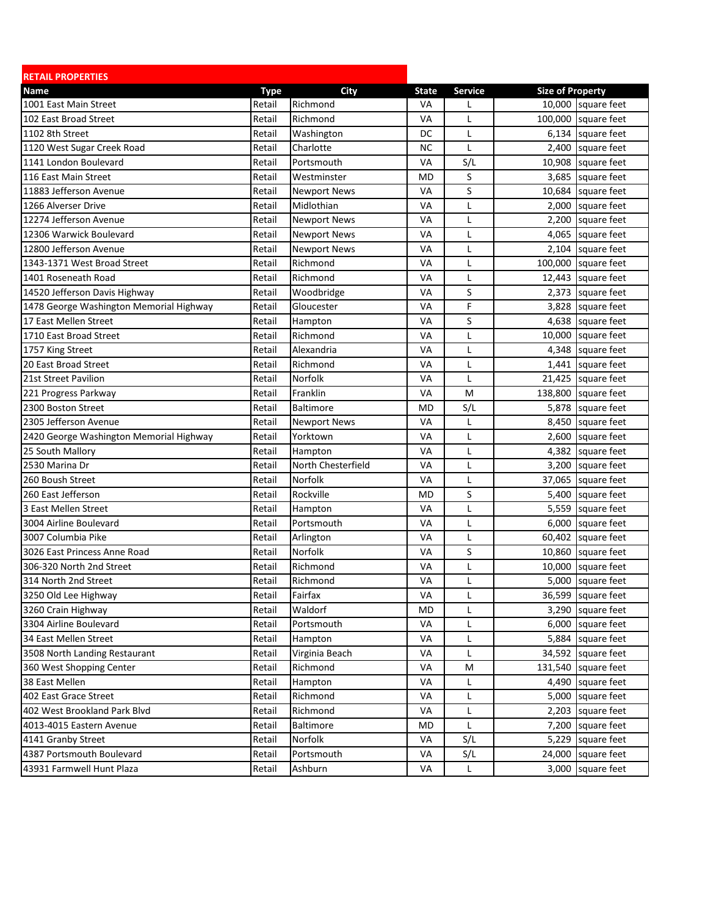| <b>RETAIL PROPERTIES</b>                |             |                     |              |                |                         |                     |
|-----------------------------------------|-------------|---------------------|--------------|----------------|-------------------------|---------------------|
| Name                                    | <b>Type</b> | City                | <b>State</b> | <b>Service</b> | <b>Size of Property</b> |                     |
| 1001 East Main Street                   | Retail      | Richmond            | VA           | L              |                         | 10,000 square feet  |
| 102 East Broad Street                   | Retail      | Richmond            | VA           | L              |                         | 100,000 square feet |
| 1102 8th Street                         | Retail      | Washington          | DC           | L              |                         | 6,134 square feet   |
| 1120 West Sugar Creek Road              | Retail      | Charlotte           | <b>NC</b>    | $\mathsf{L}$   |                         | 2,400 square feet   |
| 1141 London Boulevard                   | Retail      | Portsmouth          | VA           | S/L            |                         | 10,908 square feet  |
| 116 East Main Street                    | Retail      | Westminster         | MD           | S              |                         | 3,685 square feet   |
| 11883 Jefferson Avenue                  | Retail      | <b>Newport News</b> | VA           | $\sf S$        | 10,684                  | square feet         |
| 1266 Alverser Drive                     | Retail      | Midlothian          | VA           | L              | 2,000                   | square feet         |
| 12274 Jefferson Avenue                  | Retail      | <b>Newport News</b> | VA           | L              |                         | 2,200 square feet   |
| 12306 Warwick Boulevard                 | Retail      | <b>Newport News</b> | VA           | L              |                         | 4,065 square feet   |
| 12800 Jefferson Avenue                  | Retail      | <b>Newport News</b> | VA           | L              |                         | 2,104 square feet   |
| 1343-1371 West Broad Street             | Retail      | Richmond            | VA           | $\mathsf{L}$   | 100,000                 | square feet         |
| 1401 Roseneath Road                     | Retail      | Richmond            | VA           | L              |                         | 12,443 square feet  |
| 14520 Jefferson Davis Highway           | Retail      | Woodbridge          | VA           | S              |                         | 2,373 square feet   |
| 1478 George Washington Memorial Highway | Retail      | Gloucester          | VA           | F              |                         | 3,828 square feet   |
| 17 East Mellen Street                   | Retail      | Hampton             | VA           | S              | 4,638                   | square feet         |
| 1710 East Broad Street                  | Retail      | Richmond            | VA           | L              | 10,000                  | square feet         |
| 1757 King Street                        | Retail      | Alexandria          | VA           | L              | 4,348                   | square feet         |
| 20 East Broad Street                    | Retail      | Richmond            | VA           | L              |                         | 1,441 square feet   |
| 21st Street Pavilion                    | Retail      | Norfolk             | VA           | L              |                         | 21,425 square feet  |
| 221 Progress Parkway                    | Retail      | Franklin            | VA           | M              | 138,800                 | square feet         |
| 2300 Boston Street                      | Retail      | <b>Baltimore</b>    | <b>MD</b>    | S/L            |                         | 5,878 square feet   |
| 2305 Jefferson Avenue                   | Retail      | <b>Newport News</b> | VA           | L              |                         | 8,450 square feet   |
| 2420 George Washington Memorial Highway | Retail      | Yorktown            | VA           | L              | 2,600                   | square feet         |
| 25 South Mallory                        | Retail      | Hampton             | VA           | L              |                         | 4,382 square feet   |
| 2530 Marina Dr                          | Retail      | North Chesterfield  | VA           | L              |                         | 3,200 square feet   |
| 260 Boush Street                        | Retail      | Norfolk             | VA           | L              | 37,065                  | square feet         |
| 260 East Jefferson                      | Retail      | Rockville           | <b>MD</b>    | S              | 5,400                   | square feet         |
| 3 East Mellen Street                    | Retail      | Hampton             | VA           | L              | 5,559                   | square feet         |
| 3004 Airline Boulevard                  | Retail      | Portsmouth          | VA           | L              | 6,000                   | square feet         |
| 3007 Columbia Pike                      | Retail      | Arlington           | VA           | L              | 60,402                  | square feet         |
| 3026 East Princess Anne Road            | Retail      | Norfolk             | VA           | S              | 10.860                  | square feet         |
| 306-320 North 2nd Street                | Retail      | Richmond            | VA           | L              | 10,000                  | square feet         |
| 314 North 2nd Street                    | Retail      | Richmond            | VA           | L              | 5,000                   | square feet         |
| 3250 Old Lee Highway                    | Retail      | Fairfax             | VA           | L              |                         | 36,599 square feet  |
| 3260 Crain Highway                      | Retail      | Waldorf             | MD           | L              |                         | 3,290 square feet   |
| 3304 Airline Boulevard                  | Retail      | Portsmouth          | VA           | L              |                         | 6,000 square feet   |
| 34 East Mellen Street                   | Retail      | Hampton             | VA           | L              |                         | 5,884 square feet   |
| 3508 North Landing Restaurant           | Retail      | Virginia Beach      | VA           | L              |                         | 34,592 square feet  |
| 360 West Shopping Center                | Retail      | Richmond            | VA           | M              | 131,540                 | square feet         |
| 38 East Mellen                          | Retail      | Hampton             | VA           | L              | 4,490                   | square feet         |
| 402 East Grace Street                   | Retail      | Richmond            | VA           | L              | 5,000                   | square feet         |
| 402 West Brookland Park Blvd            | Retail      | Richmond            | VA           | L              |                         | 2,203 square feet   |
| 4013-4015 Eastern Avenue                | Retail      | <b>Baltimore</b>    | MD           | L              | 7,200                   | square feet         |
| 4141 Granby Street                      | Retail      | Norfolk             | VA           | S/L            | 5,229                   | square feet         |
| 4387 Portsmouth Boulevard               | Retail      | Portsmouth          | VA           | S/L            | 24,000                  | square feet         |
| 43931 Farmwell Hunt Plaza               | Retail      | Ashburn             | VA           | L              | 3,000                   | square feet         |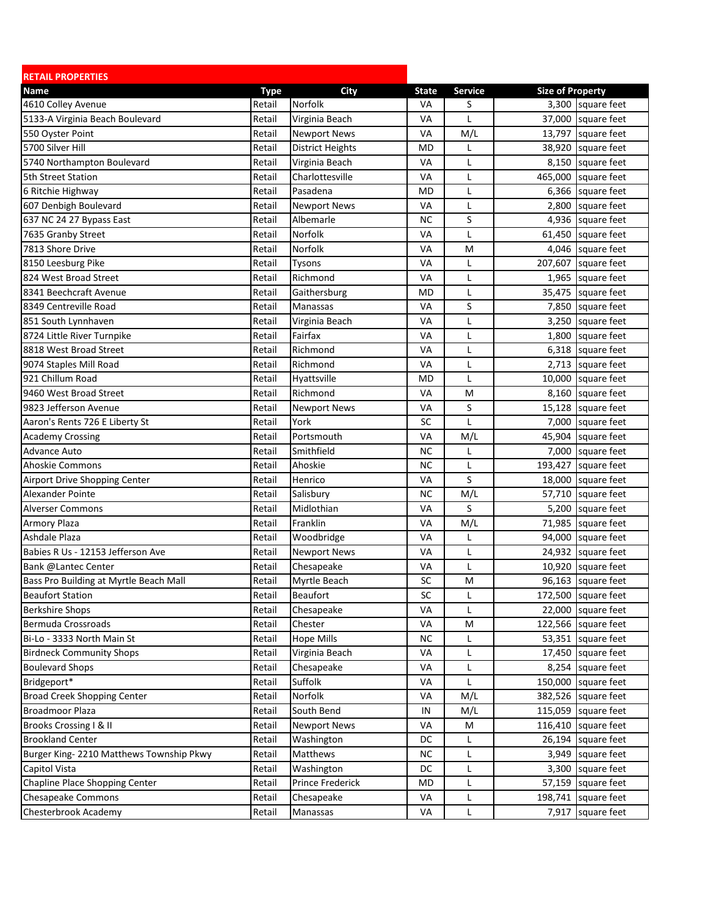| <b>RETAIL PROPERTIES</b>                |             |                         |              |                |                         |                     |
|-----------------------------------------|-------------|-------------------------|--------------|----------------|-------------------------|---------------------|
| Name                                    | <b>Type</b> | City                    | <b>State</b> | <b>Service</b> | <b>Size of Property</b> |                     |
| 4610 Colley Avenue                      | Retail      | Norfolk                 | VA           | S              | 3,300                   | square feet         |
| 5133-A Virginia Beach Boulevard         | Retail      | Virginia Beach          | VA           | L              |                         | 37,000 square feet  |
| 550 Oyster Point                        | Retail      | <b>Newport News</b>     | VA           | M/L            |                         | 13,797 square feet  |
| 5700 Silver Hill                        | Retail      | <b>District Heights</b> | <b>MD</b>    | L              | 38,920                  | square feet         |
| 5740 Northampton Boulevard              | Retail      | Virginia Beach          | VA           | L              | 8,150                   | square feet         |
| 5th Street Station                      | Retail      | Charlottesville         | VA           | L              | 465,000                 | square feet         |
| 6 Ritchie Highway                       | Retail      | Pasadena                | MD           | L              |                         | 6,366 square feet   |
| 607 Denbigh Boulevard                   | Retail      | <b>Newport News</b>     | VA           | L              | 2,800                   | square feet         |
| 637 NC 24 27 Bypass East                | Retail      | Albemarle               | <b>NC</b>    | S              |                         | 4,936 square feet   |
| 7635 Granby Street                      | Retail      | Norfolk                 | VA           | $\mathsf{L}$   |                         | 61,450 square feet  |
| 7813 Shore Drive                        | Retail      | Norfolk                 | VA           | M              |                         | 4,046 square feet   |
| 8150 Leesburg Pike                      | Retail      | Tysons                  | VA           | L              |                         | 207,607 square feet |
| 824 West Broad Street                   | Retail      | Richmond                | VA           | L              |                         | 1,965 square feet   |
| 8341 Beechcraft Avenue                  | Retail      | Gaithersburg            | MD           | L              |                         | 35,475 square feet  |
| 8349 Centreville Road                   | Retail      | Manassas                | VA           | S              | 7,850                   | square feet         |
| 851 South Lynnhaven                     | Retail      | Virginia Beach          | VA           | L              | 3,250                   | square feet         |
| 8724 Little River Turnpike              | Retail      | Fairfax                 | VA           | L              | 1,800                   | square feet         |
| 8818 West Broad Street                  | Retail      | Richmond                | VA           | L              | 6,318                   | square feet         |
| 9074 Staples Mill Road                  | Retail      | Richmond                | VA           | L              |                         | 2,713 square feet   |
| 921 Chillum Road                        | Retail      | Hyattsville             | MD           | L              | 10,000                  | square feet         |
| 9460 West Broad Street                  | Retail      | Richmond                | VA           | M              | 8,160                   | square feet         |
| 9823 Jefferson Avenue                   | Retail      | <b>Newport News</b>     | VA           | S              |                         | 15,128 square feet  |
| Aaron's Rents 726 E Liberty St          | Retail      | York                    | SC           | L              |                         | 7,000 square feet   |
| <b>Academy Crossing</b>                 | Retail      | Portsmouth              | VA           | M/L            |                         | 45,904 square feet  |
| Advance Auto                            | Retail      | Smithfield              | <b>NC</b>    | L              |                         | 7,000 square feet   |
| <b>Ahoskie Commons</b>                  | Retail      | Ahoskie                 | <b>NC</b>    | L              |                         | 193,427 square feet |
| Airport Drive Shopping Center           | Retail      | Henrico                 | VA           | S              | 18,000                  | square feet         |
| Alexander Pointe                        | Retail      | Salisbury               | <b>NC</b>    | M/L            | 57,710                  | square feet         |
| <b>Alverser Commons</b>                 | Retail      | Midlothian              | VA           | S              | 5,200                   | square feet         |
| Armory Plaza                            | Retail      | Franklin                | VA           | M/L            | 71,985                  | square feet         |
| Ashdale Plaza                           | Retail      | Woodbridge              | VA           | L              | 94,000                  | square feet         |
| Babies R Us - 12153 Jefferson Ave       | Retail      | <b>Newport News</b>     | VA           | L              |                         | 24,932 square feet  |
| Bank @Lantec Center                     | Retail      | Chesapeake              | VA           | L              | 10,920                  | square feet         |
| Bass Pro Building at Myrtle Beach Mall  | Retail      | Myrtle Beach            | <b>SC</b>    | M              |                         | 96,163 square feet  |
| <b>Beaufort Station</b>                 | Retail      | <b>Beaufort</b>         | SC           | L              |                         | 172,500 square feet |
| <b>Berkshire Shops</b>                  | Retail      | Chesapeake              | VA           | $\mathsf{L}$   |                         | 22,000 square feet  |
| Bermuda Crossroads                      | Retail      | Chester                 | VA           | M              |                         | 122,566 square feet |
| Bi-Lo - 3333 North Main St              | Retail      | <b>Hope Mills</b>       | <b>NC</b>    | L              |                         | 53,351 square feet  |
| <b>Birdneck Community Shops</b>         | Retail      | Virginia Beach          | VA           | L              |                         | 17,450 square feet  |
| <b>Boulevard Shops</b>                  | Retail      | Chesapeake              | VA           | L              | 8,254                   | square feet         |
| Bridgeport*                             | Retail      | Suffolk                 | VA           | $\mathsf{L}$   | 150,000                 | square feet         |
| <b>Broad Creek Shopping Center</b>      | Retail      | Norfolk                 | VA           | M/L            |                         | 382,526 square feet |
| <b>Broadmoor Plaza</b>                  | Retail      | South Bend              | IN           | M/L            | 115,059                 | square feet         |
| Brooks Crossing   & II                  | Retail      | <b>Newport News</b>     | VA           | M              | 116,410                 | square feet         |
| <b>Brookland Center</b>                 | Retail      | Washington              | DC           | L              | 26,194                  | square feet         |
| Burger King-2210 Matthews Township Pkwy | Retail      | Matthews                | <b>NC</b>    | L              | 3,949                   | square feet         |
| Capitol Vista                           | Retail      | Washington              | DC           | L              |                         | 3,300 square feet   |
| Chapline Place Shopping Center          | Retail      | <b>Prince Frederick</b> | MD           | L              |                         | 57,159 square feet  |
| Chesapeake Commons                      | Retail      | Chesapeake              | VA           | L              |                         | 198,741 square feet |
| Chesterbrook Academy                    | Retail      | Manassas                | VA           | L              |                         | 7,917 square feet   |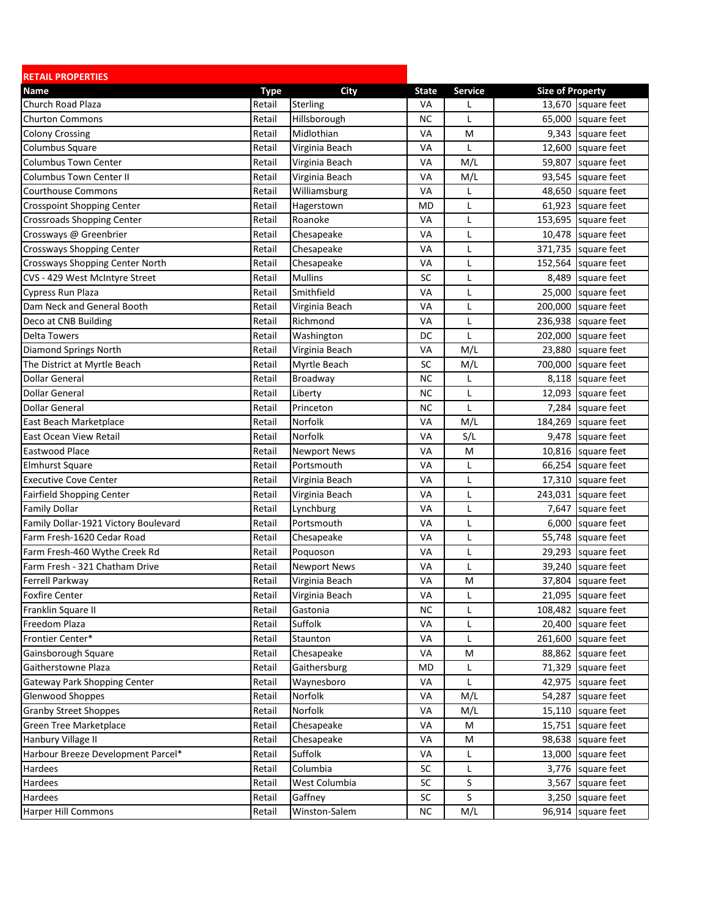| <b>RETAIL PROPERTIES</b>             |             |                     |              |                |                         |                     |
|--------------------------------------|-------------|---------------------|--------------|----------------|-------------------------|---------------------|
| Name                                 | <b>Type</b> | City                | <b>State</b> | <b>Service</b> | <b>Size of Property</b> |                     |
| Church Road Plaza                    | Retail      | Sterling            | VA           | L              | 13.670                  | square feet         |
| <b>Churton Commons</b>               | Retail      | Hillsborough        | <b>NC</b>    | L              |                         | 65,000 square feet  |
| <b>Colony Crossing</b>               | Retail      | Midlothian          | VA           | M              |                         | 9,343 square feet   |
| Columbus Square                      | Retail      | Virginia Beach      | VA           | $\mathsf{L}$   | 12,600                  | square feet         |
| <b>Columbus Town Center</b>          | Retail      | Virginia Beach      | VA           | M/L            | 59,807                  | square feet         |
| Columbus Town Center II              | Retail      | Virginia Beach      | VA           | M/L            | 93,545                  | square feet         |
| <b>Courthouse Commons</b>            | Retail      | Williamsburg        | VA           | L              | 48,650                  | square feet         |
| <b>Crosspoint Shopping Center</b>    | Retail      | Hagerstown          | <b>MD</b>    | L              | 61,923                  | square feet         |
| <b>Crossroads Shopping Center</b>    | Retail      | Roanoke             | VA           | L              |                         | 153,695 square feet |
| Crossways @ Greenbrier               | Retail      | Chesapeake          | VA           | L              |                         | 10,478 square feet  |
| <b>Crossways Shopping Center</b>     | Retail      | Chesapeake          | VA           | L              |                         | 371,735 square feet |
| Crossways Shopping Center North      | Retail      | Chesapeake          | VA           | L              |                         | 152,564 square feet |
| CVS - 429 West McIntyre Street       | Retail      | <b>Mullins</b>      | SC           | L              | 8,489                   | square feet         |
| Cypress Run Plaza                    | Retail      | Smithfield          | VA           | L              | 25,000                  | square feet         |
| Dam Neck and General Booth           | Retail      | Virginia Beach      | VA           | L              | 200,000                 | square feet         |
| Deco at CNB Building                 | Retail      | Richmond            | VA           | L              | 236,938                 | square feet         |
| Delta Towers                         | Retail      | Washington          | DC           | L              | 202,000                 | square feet         |
| <b>Diamond Springs North</b>         | Retail      | Virginia Beach      | VA           | M/L            | 23,880                  | square feet         |
| The District at Myrtle Beach         | Retail      | Myrtle Beach        | SC           | M/L            | 700,000                 | square feet         |
| <b>Dollar General</b>                | Retail      | Broadway            | <b>NC</b>    | L              | 8,118                   | square feet         |
| <b>Dollar General</b>                | Retail      | Liberty             | <b>NC</b>    | L              | 12,093                  | square feet         |
| <b>Dollar General</b>                | Retail      | Princeton           | <b>NC</b>    | L              |                         | 7,284 square feet   |
| East Beach Marketplace               | Retail      | Norfolk             | VA           | M/L            |                         | 184,269 square feet |
| <b>East Ocean View Retail</b>        | Retail      | Norfolk             | VA           | S/L            |                         | 9,478 square feet   |
| Eastwood Place                       | Retail      | <b>Newport News</b> | VA           | M              |                         | 10,816 square feet  |
| <b>Elmhurst Square</b>               | Retail      | Portsmouth          | VA           | L              |                         | 66,254 square feet  |
| <b>Executive Cove Center</b>         | Retail      | Virginia Beach      | VA           | L              | 17,310                  | square feet         |
| <b>Fairfield Shopping Center</b>     | Retail      | Virginia Beach      | VA           | L              |                         | 243,031 square feet |
| <b>Family Dollar</b>                 | Retail      | Lynchburg           | VA           | L              | 7,647                   | square feet         |
| Family Dollar-1921 Victory Boulevard | Retail      | Portsmouth          | VA           | L              | 6,000                   | square feet         |
| Farm Fresh-1620 Cedar Road           | Retail      | Chesapeake          | VA           | L              | 55,748                  | square feet         |
| Farm Fresh-460 Wythe Creek Rd        | Retail      | Poquoson            | VA           | L              | 29,293                  | square feet         |
| Farm Fresh - 321 Chatham Drive       | Retail      | <b>Newport News</b> | VA           | L              | 39.240                  | square feet         |
| Ferrell Parkway                      | Retail      | Virginia Beach      | VA           | M              |                         | 37,804 square feet  |
| <b>Foxfire Center</b>                | Retail      | Virginia Beach      | VA           | L              |                         | 21,095 square feet  |
| Franklin Square II                   | Retail      | Gastonia            | <b>NC</b>    | L              |                         | 108,482 square feet |
| Freedom Plaza                        | Retail      | Suffolk             | VA           | L              |                         | 20,400 square feet  |
| Frontier Center*                     | Retail      | Staunton            | VA           | L              |                         | 261,600 square feet |
| Gainsborough Square                  | Retail      | Chesapeake          | VA           | M              |                         | 88,862 square feet  |
| Gaitherstowne Plaza                  | Retail      | Gaithersburg        | <b>MD</b>    | L              | 71,329                  | square feet         |
| Gateway Park Shopping Center         | Retail      | Waynesboro          | VA           | L              | 42,975                  | square feet         |
| Glenwood Shoppes                     | Retail      | Norfolk             | VA           | M/L            | 54,287                  | square feet         |
| <b>Granby Street Shoppes</b>         | Retail      | Norfolk             | VA           | M/L            | 15,110                  | square feet         |
| Green Tree Marketplace               | Retail      | Chesapeake          | VA           | M              | 15,751                  | square feet         |
| Hanbury Village II                   | Retail      | Chesapeake          | VA           | M              | 98,638                  | square feet         |
| Harbour Breeze Development Parcel*   | Retail      | Suffolk             | VA           | L              | 13,000                  | square feet         |
| Hardees                              | Retail      | Columbia            | SC           | L              |                         | 3,776 square feet   |
| Hardees                              | Retail      | West Columbia       | SC           | S              |                         | 3,567 square feet   |
| Hardees                              | Retail      | Gaffney             | SC           | S              | 3,250                   | square feet         |
| <b>Harper Hill Commons</b>           | Retail      | Winston-Salem       | <b>NC</b>    | M/L            | 96,914                  | square feet         |
|                                      |             |                     |              |                |                         |                     |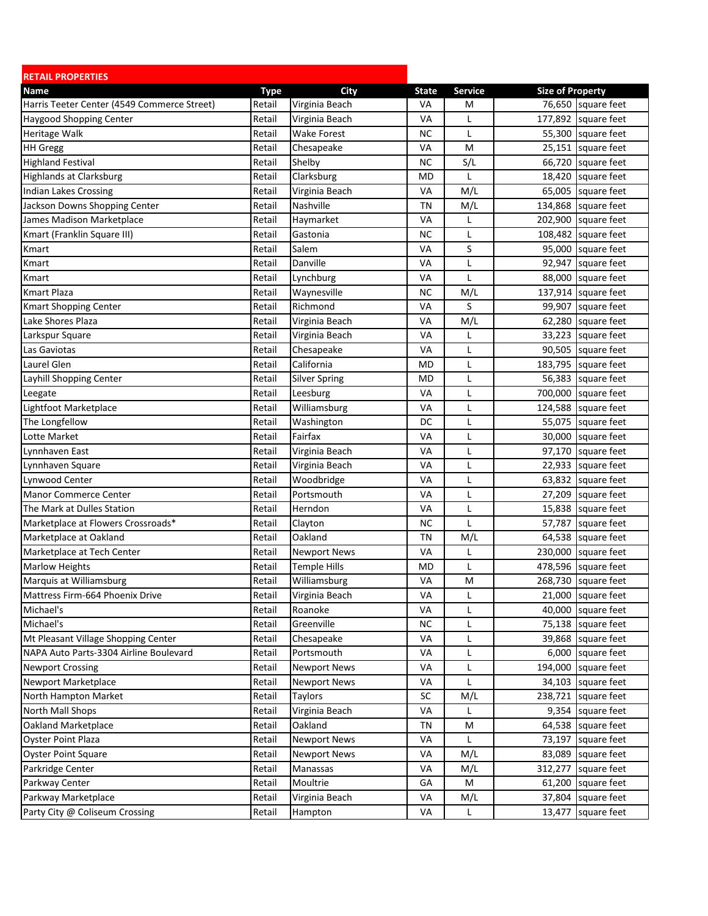| <b>RETAIL PROPERTIES</b>                    |             |                      |              |                |                         |
|---------------------------------------------|-------------|----------------------|--------------|----------------|-------------------------|
| Name                                        | <b>Type</b> | City                 | <b>State</b> | <b>Service</b> | <b>Size of Property</b> |
| Harris Teeter Center (4549 Commerce Street) | Retail      | Virginia Beach       | VA           | M              | 76,650<br>square feet   |
| <b>Haygood Shopping Center</b>              | Retail      | Virginia Beach       | VA           | L              | 177,892 square feet     |
| <b>Heritage Walk</b>                        | Retail      | <b>Wake Forest</b>   | <b>NC</b>    | L              | 55,300 square feet      |
| <b>HH Gregg</b>                             | Retail      | Chesapeake           | VA           | M              | 25,151 square feet      |
| <b>Highland Festival</b>                    | Retail      | Shelby               | <b>NC</b>    | S/L            | 66,720<br>square feet   |
| <b>Highlands at Clarksburg</b>              | Retail      | Clarksburg           | MD           | L              | 18,420<br>square feet   |
| Indian Lakes Crossing                       | Retail      | Virginia Beach       | VA           | M/L            | 65,005<br>square feet   |
| Jackson Downs Shopping Center               | Retail      | Nashville            | ΤN           | M/L            | 134,868<br>square feet  |
| James Madison Marketplace                   | Retail      | Haymarket            | VA           | L              | 202,900<br>square feet  |
| Kmart (Franklin Square III)                 | Retail      | Gastonia             | <b>NC</b>    | L              | square feet<br>108,482  |
| Kmart                                       | Retail      | Salem                | VA           | S              | 95,000 square feet      |
| Kmart                                       | Retail      | Danville             | VA           | L              | 92,947<br>square feet   |
| Kmart                                       | Retail      | Lynchburg            | VA           | L              | 88,000<br>square feet   |
| <b>Kmart Plaza</b>                          | Retail      | Waynesville          | <b>NC</b>    | M/L            | 137,914<br>square feet  |
| <b>Kmart Shopping Center</b>                | Retail      | Richmond             | VA           | S              | 99,907<br>square feet   |
| Lake Shores Plaza                           | Retail      | Virginia Beach       | VA           | M/L            | 62,280 square feet      |
| Larkspur Square                             | Retail      | Virginia Beach       | VA           | L              | 33,223<br>square feet   |
| Las Gaviotas                                | Retail      | Chesapeake           | VA           | L              | 90,505<br>square feet   |
| aurel Glen.                                 | Retail      | California           | MD           | L              | 183,795<br>square feet  |
| Layhill Shopping Center                     | Retail      | <b>Silver Spring</b> | <b>MD</b>    | L              | 56,383<br>square feet   |
| Leegate                                     | Retail      | Leesburg             | VA           | L              | 700,000<br>square feet  |
| Lightfoot Marketplace                       | Retail      | Williamsburg         | VA           | L              | 124,588<br>square feet  |
| The Longfellow                              | Retail      | Washington           | DC           | L              | 55,075 square feet      |
| Lotte Market                                | Retail      | Fairfax              | VA           | L              | 30,000<br>square feet   |
| Lynnhaven East                              | Retail      | Virginia Beach       | VA           | L              | 97,170<br>square feet   |
| Lynnhaven Square                            | Retail      | Virginia Beach       | VA           | L              | 22,933<br>square feet   |
| Lynwood Center                              | Retail      | Woodbridge           | VA           | L              | 63,832<br>square feet   |
| <b>Manor Commerce Center</b>                | Retail      | Portsmouth           | VA           | L              | 27,209<br>square feet   |
| The Mark at Dulles Station                  | Retail      | Herndon              | VA           | L              | square feet<br>15,838   |
| Marketplace at Flowers Crossroads*          | Retail      | Clayton              | <b>NC</b>    | L              | 57,787<br>square feet   |
| Marketplace at Oakland                      | Retail      | Oakland              | <b>TN</b>    | M/L            | 64,538<br>square feet   |
| Marketplace at Tech Center                  | Retail      | <b>Newport News</b>  | VA           | L              | 230,000<br>square feet  |
| <b>Marlow Heights</b>                       | Retail      | <b>Temple Hills</b>  | <b>MD</b>    | L              | 478,596<br>square feet  |
| Marquis at Williamsburg                     | Retail      | Williamsburg         | VA           | M              | 268,730<br>square feet  |
| Mattress Firm-664 Phoenix Drive             | Retail      | Virginia Beach       | VA           | L              | 21,000 square feet      |
| Michael's                                   | Retail      | Roanoke              | VA           | L              | 40,000<br>square feet   |
| Michael's                                   | Retail      | Greenville           | <b>NC</b>    | L              | 75,138 square feet      |
| Mt Pleasant Village Shopping Center         | Retail      | Chesapeake           | VA           | L              | 39,868<br>square feet   |
| NAPA Auto Parts-3304 Airline Boulevard      | Retail      | Portsmouth           | VA           | L              | 6,000<br>square feet    |
| <b>Newport Crossing</b>                     | Retail      | <b>Newport News</b>  | VA           | L              | 194,000<br>square feet  |
| <b>Newport Marketplace</b>                  | Retail      | <b>Newport News</b>  | VA           | L              | 34,103<br>square feet   |
| North Hampton Market                        | Retail      | Taylors              | SC           | M/L            | 238,721<br>square feet  |
| North Mall Shops                            | Retail      | Virginia Beach       | VA           | L              | 9,354<br>square feet    |
| Oakland Marketplace                         | Retail      | Oakland              | TN           | M              | 64,538<br>square feet   |
| <b>Oyster Point Plaza</b>                   | Retail      | <b>Newport News</b>  | VA           | L              | 73,197<br>square feet   |
| <b>Oyster Point Square</b>                  | Retail      | <b>Newport News</b>  | VA           | M/L            | 83,089<br>square feet   |
| Parkridge Center                            | Retail      | Manassas             | VA           | M/L            | 312,277<br>square feet  |
| Parkway Center                              | Retail      | Moultrie             | GA           | M              | 61,200<br>square feet   |
| Parkway Marketplace                         | Retail      | Virginia Beach       | VA           | M/L            | 37,804<br>square feet   |
| Party City @ Coliseum Crossing              | Retail      | Hampton              | VA           |                | 13,477<br>square feet   |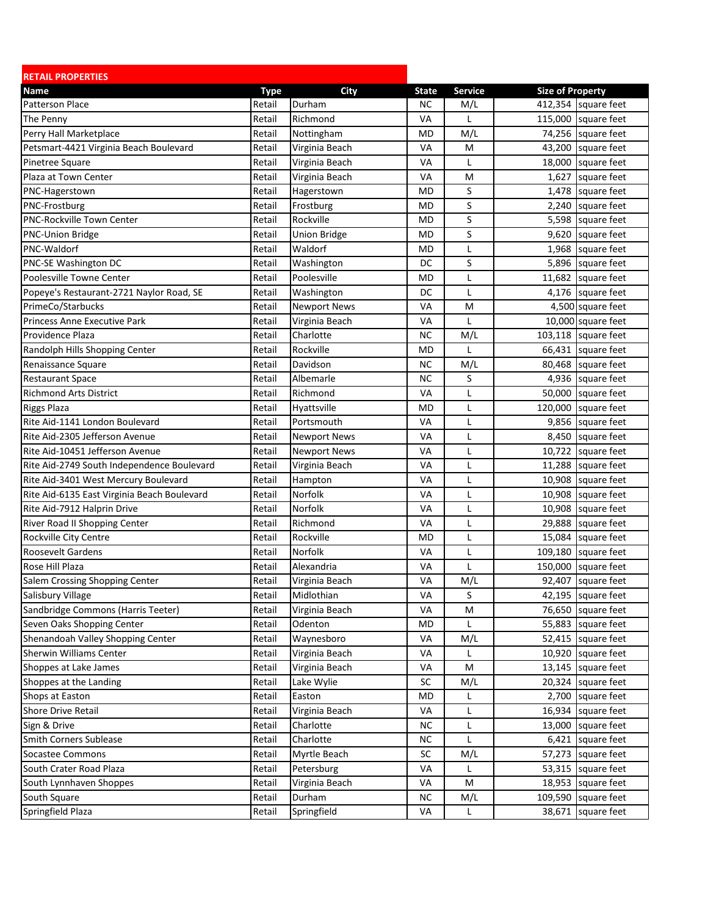| <b>RETAIL PROPERTIES</b>                    |             |                     |              |                |                         |                     |
|---------------------------------------------|-------------|---------------------|--------------|----------------|-------------------------|---------------------|
| Name                                        | <b>Type</b> | City                | <b>State</b> | <b>Service</b> | <b>Size of Property</b> |                     |
| Patterson Place                             | Retail      | Durham              | <b>NC</b>    | M/L            |                         | 412,354 square feet |
| The Penny                                   | Retail      | Richmond            | VA           | L              |                         | 115,000 square feet |
| Perry Hall Marketplace                      | Retail      | Nottingham          | <b>MD</b>    | M/L            |                         | 74,256 square feet  |
| Petsmart-4421 Virginia Beach Boulevard      | Retail      | Virginia Beach      | VA           | M              | 43,200                  | square feet         |
| Pinetree Square                             | Retail      | Virginia Beach      | VA           | L              | 18,000                  | square feet         |
| Plaza at Town Center                        | Retail      | Virginia Beach      | VA           | M              |                         | 1,627 square feet   |
| PNC-Hagerstown                              | Retail      | Hagerstown          | <b>MD</b>    | S              |                         | 1,478 square feet   |
| PNC-Frostburg                               | Retail      | Frostburg           | MD           | S              | 2,240                   | square feet         |
| PNC-Rockville Town Center                   | Retail      | Rockville           | MD           | S              |                         | 5,598 square feet   |
| PNC-Union Bridge                            | Retail      | <b>Union Bridge</b> | <b>MD</b>    | S              | 9,620                   | square feet         |
| PNC-Waldorf                                 | Retail      | Waldorf             | <b>MD</b>    | L              |                         | 1,968 square feet   |
| PNC-SE Washington DC                        | Retail      | Washington          | DC           | S              |                         | 5,896 square feet   |
| Poolesville Towne Center                    | Retail      | Poolesville         | MD           | L              |                         | 11,682 square feet  |
| Popeye's Restaurant-2721 Naylor Road, SE    | Retail      | Washington          | DC           | L              |                         | 4,176 square feet   |
| PrimeCo/Starbucks                           | Retail      | <b>Newport News</b> | VA           | M              |                         | 4,500 square feet   |
| Princess Anne Executive Park                | Retail      | Virginia Beach      | VA           | L              |                         | 10,000 square feet  |
| Providence Plaza                            | Retail      | Charlotte           | <b>NC</b>    | M/L            |                         | 103,118 square feet |
| Randolph Hills Shopping Center              | Retail      | Rockville           | MD           | L              |                         | 66,431 square feet  |
| Renaissance Square                          | Retail      | Davidson            | <b>NC</b>    | M/L            | 80,468                  | square feet         |
| <b>Restaurant Space</b>                     | Retail      | Albemarle           | <b>NC</b>    | S              | 4,936                   | square feet         |
| <b>Richmond Arts District</b>               | Retail      | Richmond            | VA           | L              | 50,000                  | square feet         |
| <b>Riggs Plaza</b>                          | Retail      | Hyattsville         | <b>MD</b>    | L              | 120,000                 | square feet         |
| Rite Aid-1141 London Boulevard              | Retail      | Portsmouth          | VA           | L              |                         | 9,856 square feet   |
| Rite Aid-2305 Jefferson Avenue              | Retail      | <b>Newport News</b> | VA           | L              |                         | 8,450 square feet   |
| Rite Aid-10451 Jefferson Avenue             | Retail      | <b>Newport News</b> | VA           | L              |                         | 10,722 square feet  |
| Rite Aid-2749 South Independence Boulevard  | Retail      | Virginia Beach      | VA           | L              |                         | 11,288 square feet  |
| Rite Aid-3401 West Mercury Boulevard        | Retail      | Hampton             | VA           | L              |                         | 10,908 square feet  |
| Rite Aid-6135 East Virginia Beach Boulevard | Retail      | Norfolk             | VA           | L              | 10,908                  | square feet         |
| Rite Aid-7912 Halprin Drive                 | Retail      | Norfolk             | VA           | L              | 10,908                  | square feet         |
| River Road II Shopping Center               | Retail      | Richmond            | VA           | L              | 29,888                  | square feet         |
| Rockville City Centre                       | Retail      | Rockville           | <b>MD</b>    | L              | 15,084                  | square feet         |
| <b>Roosevelt Gardens</b>                    | Retail      | Norfolk             | VA           | L              | 109,180                 | square feet         |
| Rose Hill Plaza                             | Retail      | Alexandria          | VA           | L              | 150,000                 | square feet         |
| Salem Crossing Shopping Center              | Retail      | Virginia Beach      | VA           | M/L            |                         | 92,407 square feet  |
| Salisbury Village                           | Retail      | Midlothian          | VA           | S              |                         | 42,195 square feet  |
| Sandbridge Commons (Harris Teeter)          | Retail      | Virginia Beach      | VA           | M              | 76,650                  | square feet         |
| Seven Oaks Shopping Center                  | Retail      | Odenton             | MD           | L              |                         | 55,883 square feet  |
| Shenandoah Valley Shopping Center           | Retail      | Waynesboro          | VA           | M/L            |                         | 52,415 square feet  |
| Sherwin Williams Center                     | Retail      | Virginia Beach      | VA           | L              | 10,920                  | square feet         |
| Shoppes at Lake James                       | Retail      | Virginia Beach      | VA           | M              |                         | 13,145 square feet  |
| Shoppes at the Landing                      | Retail      | Lake Wylie          | SC           | M/L            |                         | 20,324 square feet  |
| Shops at Easton                             | Retail      | Easton              | <b>MD</b>    | L              | 2,700                   | square feet         |
| Shore Drive Retail                          | Retail      | Virginia Beach      | VA           | L              | 16,934                  | square feet         |
| Sign & Drive                                | Retail      | Charlotte           | <b>NC</b>    | L              | 13,000                  | square feet         |
| Smith Corners Sublease                      | Retail      | Charlotte           | <b>NC</b>    | L              | 6,421                   | square feet         |
| Socastee Commons                            | Retail      | Myrtle Beach        | <b>SC</b>    | M/L            |                         | 57,273 square feet  |
| South Crater Road Plaza                     | Retail      | Petersburg          | VA           | L              | 53,315                  | square feet         |
| South Lynnhaven Shoppes                     | Retail      | Virginia Beach      | VA           | M              |                         | 18,953 square feet  |
| South Square                                | Retail      | Durham              | <b>NC</b>    | M/L            | 109,590                 | square feet         |
| Springfield Plaza                           | Retail      | Springfield         | VA           | L              | 38,671                  | square feet         |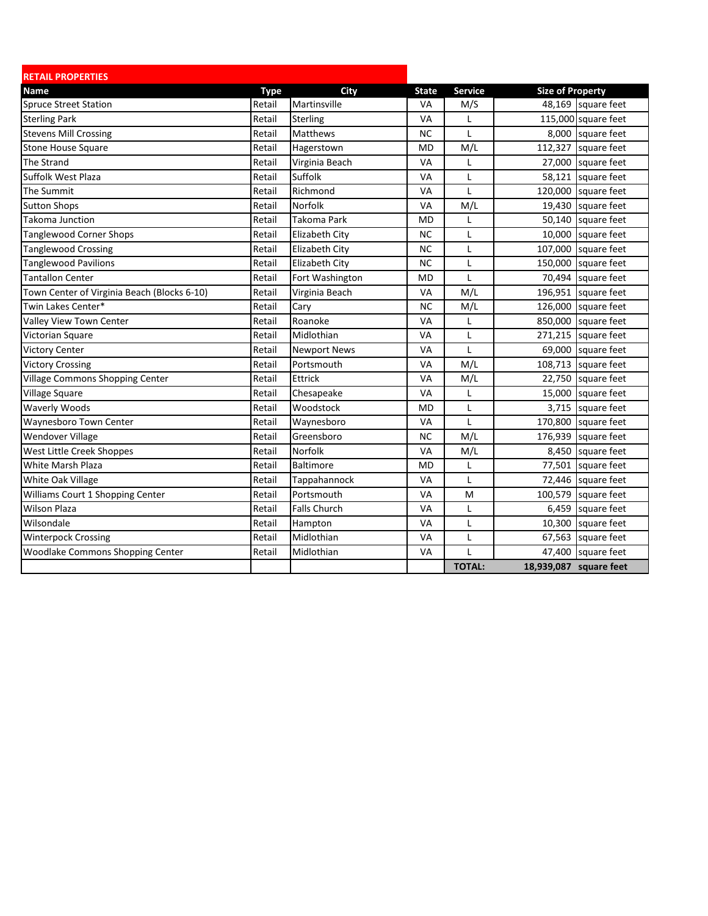| <b>RETAIL PROPERTIES</b>                    |             |                       |              |                |                         |                        |
|---------------------------------------------|-------------|-----------------------|--------------|----------------|-------------------------|------------------------|
| Name                                        | <b>Type</b> | City                  | <b>State</b> | <b>Service</b> | <b>Size of Property</b> |                        |
| <b>Spruce Street Station</b>                | Retail      | Martinsville          | VA           | M/S            |                         | 48,169 square feet     |
| <b>Sterling Park</b>                        | Retail      | Sterling              | VA           | L              |                         | $115,000$ square feet  |
| <b>Stevens Mill Crossing</b>                | Retail      | Matthews              | <b>NC</b>    | L              |                         | 8,000 square feet      |
| Stone House Square                          | Retail      | Hagerstown            | <b>MD</b>    | M/L            | 112,327                 | square feet            |
| The Strand                                  | Retail      | Virginia Beach        | VA           | L              |                         | 27,000 square feet     |
| Suffolk West Plaza                          | Retail      | Suffolk               | VA           | L              |                         | 58,121 square feet     |
| The Summit                                  | Retail      | Richmond              | VA           | $\mathbf{I}$   | 120,000                 | square feet            |
| <b>Sutton Shops</b>                         | Retail      | Norfolk               | VA           | M/L            | 19,430                  | square feet            |
| Takoma Junction                             | Retail      | <b>Takoma Park</b>    | <b>MD</b>    | L              | 50,140                  | square feet            |
| <b>Tanglewood Corner Shops</b>              | Retail      | Elizabeth City        | <b>NC</b>    | L              | 10,000                  | square feet            |
| <b>Tanglewood Crossing</b>                  | Retail      | <b>Elizabeth City</b> | <b>NC</b>    | L              | 107,000                 | square feet            |
| Tanglewood Pavilions                        | Retail      | Elizabeth City        | <b>NC</b>    | L              | 150,000                 | square feet            |
| <b>Tantallon Center</b>                     | Retail      | Fort Washington       | <b>MD</b>    | T              | 70,494                  | square feet            |
| Town Center of Virginia Beach (Blocks 6-10) | Retail      | Virginia Beach        | VA           | M/L            |                         | 196,951 square feet    |
| Twin Lakes Center*                          | Retail      | Cary                  | <b>NC</b>    | M/L            | 126,000                 | square feet            |
| Valley View Town Center                     | Retail      | Roanoke               | VA           | L              | 850,000                 | square feet            |
| Victorian Square                            | Retail      | Midlothian            | VA           | L              |                         | 271,215 square feet    |
| <b>Victory Center</b>                       | Retail      | <b>Newport News</b>   | VA           | L              | 69,000                  | square feet            |
| <b>Victory Crossing</b>                     | Retail      | Portsmouth            | <b>VA</b>    | M/L            |                         | 108,713 square feet    |
| Village Commons Shopping Center             | Retail      | Ettrick               | VA           | M/L            | 22,750                  | square feet            |
| Village Square                              | Retail      | Chesapeake            | VA           | L              | 15,000                  | square feet            |
| <b>Waverly Woods</b>                        | Retail      | Woodstock             | <b>MD</b>    | L              | 3,715                   | square feet            |
| Waynesboro Town Center                      | Retail      | Waynesboro            | VA           | L              | 170,800                 | square feet            |
| <b>Wendover Village</b>                     | Retail      | Greensboro            | <b>NC</b>    | M/L            | 176,939                 | square feet            |
| West Little Creek Shoppes                   | Retail      | Norfolk               | <b>VA</b>    | M/L            | 8,450                   | square feet            |
| White Marsh Plaza                           | Retail      | <b>Baltimore</b>      | <b>MD</b>    | L              | 77,501                  | square feet            |
| White Oak Village                           | Retail      | Tappahannock          | VA           | L              |                         | 72,446 square feet     |
| Williams Court 1 Shopping Center            | Retail      | Portsmouth            | VA           | M              | 100,579                 | square feet            |
| <b>Wilson Plaza</b>                         | Retail      | <b>Falls Church</b>   | VA           | L              | 6,459                   | square feet            |
| Wilsondale                                  | Retail      | Hampton               | VA           | L              | 10,300                  | square feet            |
| <b>Winterpock Crossing</b>                  | Retail      | Midlothian            | VA           | L              | 67,563                  | square feet            |
| <b>Woodlake Commons Shopping Center</b>     | Retail      | Midlothian            | VA           | $\mathbf{I}$   |                         | 47,400 square feet     |
|                                             |             |                       |              | <b>TOTAL:</b>  |                         | 18,939,087 square feet |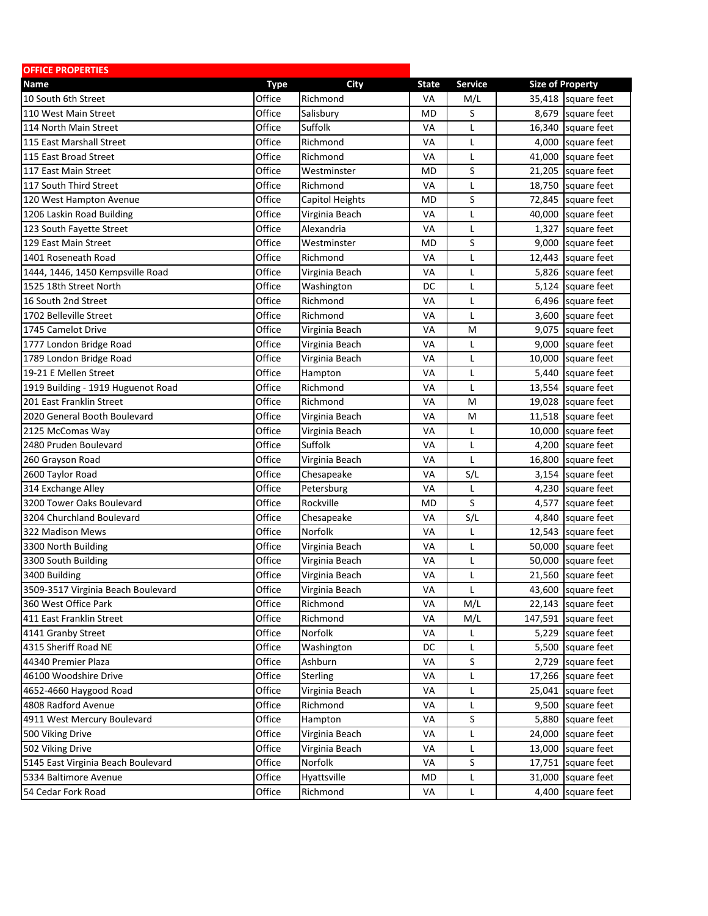| <b>OFFICE PROPERTIES</b>           |             |                 |              |                |         |                         |
|------------------------------------|-------------|-----------------|--------------|----------------|---------|-------------------------|
| <b>Name</b>                        | <b>Type</b> | City            | <b>State</b> | <b>Service</b> |         | <b>Size of Property</b> |
| 10 South 6th Street                | Office      | Richmond        | VA           | M/L            | 35.418  | square feet             |
| 110 West Main Street               | Office      | Salisbury       | MD           | S              | 8,679   | square feet             |
| 114 North Main Street              | Office      | Suffolk         | VA           | Г              | 16,340  | square feet             |
| 115 East Marshall Street           | Office      | Richmond        | VA           | L              | 4.000   | square feet             |
| 115 East Broad Street              | Office      | Richmond        | VA           | L              | 41,000  | square feet             |
| 117 East Main Street               | Office      | Westminster     | <b>MD</b>    | S              | 21,205  | square feet             |
| 117 South Third Street             | Office      | Richmond        | VA           | Г              | 18,750  | square feet             |
| 120 West Hampton Avenue            | Office      | Capitol Heights | MD           | S              | 72,845  | square feet             |
| 1206 Laskin Road Building          | Office      | Virginia Beach  | VA           | Г              | 40,000  | square feet             |
| 123 South Fayette Street           | Office      | Alexandria      | VA           | Г              | 1,327   | square feet             |
| 129 East Main Street               | Office      | Westminster     | <b>MD</b>    | S              | 9,000   | square feet             |
| 1401 Roseneath Road                | Office      | Richmond        | VA           | L              | 12,443  | square feet             |
| 1444, 1446, 1450 Kempsville Road   | Office      | Virginia Beach  | VA           | L              |         | 5,826 square feet       |
| 1525 18th Street North             | Office      | Washington      | DC           | L              | 5,124   | square feet             |
| 16 South 2nd Street                | Office      | Richmond        | VA           | Г              | 6.496   | square feet             |
| 1702 Belleville Street             | Office      | Richmond        | VA           | Г              | 3,600   | square feet             |
| 1745 Camelot Drive                 | Office      | Virginia Beach  | VA           | M              | 9.075   | square feet             |
| 1777 London Bridge Road            | Office      | Virginia Beach  | VA           | L              | 9,000   | square feet             |
| 1789 London Bridge Road            | Office      | Virginia Beach  | VA           | L              | 10,000  | square feet             |
| 19-21 E Mellen Street              | Office      | Hampton         | VA           | L              | 5,440   | square feet             |
| 1919 Building - 1919 Huguenot Road | Office      | Richmond        | VA           | L              | 13,554  | square feet             |
| 201 East Franklin Street           | Office      | Richmond        | VA           | M              |         | 19,028 square feet      |
| 2020 General Booth Boulevard       | Office      | Virginia Beach  | VA           | M              |         | 11,518 square feet      |
| 2125 McComas Way                   | Office      | Virginia Beach  | VA           | L              | 10,000  | square feet             |
| 2480 Pruden Boulevard              | Office      | Suffolk         | VA           | L              | 4,200   | square feet             |
| 260 Grayson Road                   | Office      | Virginia Beach  | VA           | L              | 16,800  | square feet             |
| 2600 Taylor Road                   | Office      | Chesapeake      | VA           | S/L            | 3,154   | square feet             |
| 314 Exchange Alley                 | Office      | Petersburg      | VA           | L              | 4,230   | square feet             |
| 3200 Tower Oaks Boulevard          | Office      | Rockville       | MD           | S              | 4,577   | square feet             |
| 3204 Churchland Boulevard          | Office      | Chesapeake      | VA           | S/L            | 4,840   | square feet             |
| 322 Madison Mews                   | Office      | Norfolk         | VA           | L              | 12,543  | square feet             |
| 3300 North Building                | Office      | Virginia Beach  | VA           | L              | 50,000  | square feet             |
| 3300 South Building                | Office      | Virginia Beach  | VA           | L              | 50.000  | square feet             |
| 3400 Building                      | Office      | Virginia Beach  | VA           | Г              | 21,560  | square feet             |
| 3509-3517 Virginia Beach Boulevard | Office      | Virginia Beach  | VA           | L              |         | 43,600 square feet      |
| 360 West Office Park               | Office      | Richmond        | VA           | M/L            | 22,143  | square feet             |
| 411 East Franklin Street           | Office      | Richmond        | VA           | M/L            | 147,591 | square feet             |
| 4141 Granby Street                 | Office      | Norfolk         | VA           | Г              | 5,229   | square feet             |
| 4315 Sheriff Road NE               | Office      | Washington      | DC           | L              | 5,500   | square feet             |
| 44340 Premier Plaza                | Office      | Ashburn         | VA           | S              | 2,729   | square feet             |
| 46100 Woodshire Drive              | Office      | Sterling        | VA           | Г              | 17,266  | square feet             |
| 4652-4660 Haygood Road             | Office      | Virginia Beach  | VA           | Г              | 25,041  | square feet             |
| 4808 Radford Avenue                | Office      | Richmond        | VA           | L              | 9,500   | square feet             |
| 4911 West Mercury Boulevard        | Office      | Hampton         | VA           | S              | 5,880   | square feet             |
| 500 Viking Drive                   | Office      | Virginia Beach  | VA           | L              | 24,000  | square feet             |
| 502 Viking Drive                   | Office      | Virginia Beach  | VA           | L              | 13,000  | square feet             |
| 5145 East Virginia Beach Boulevard | Office      | Norfolk         | VA           | S              | 17,751  | square feet             |
| 5334 Baltimore Avenue              | Office      | Hyattsville     | <b>MD</b>    | L              | 31,000  | square feet             |
| 54 Cedar Fork Road                 | Office      | Richmond        | VA           | L              | 4,400   | square feet             |
|                                    |             |                 |              |                |         |                         |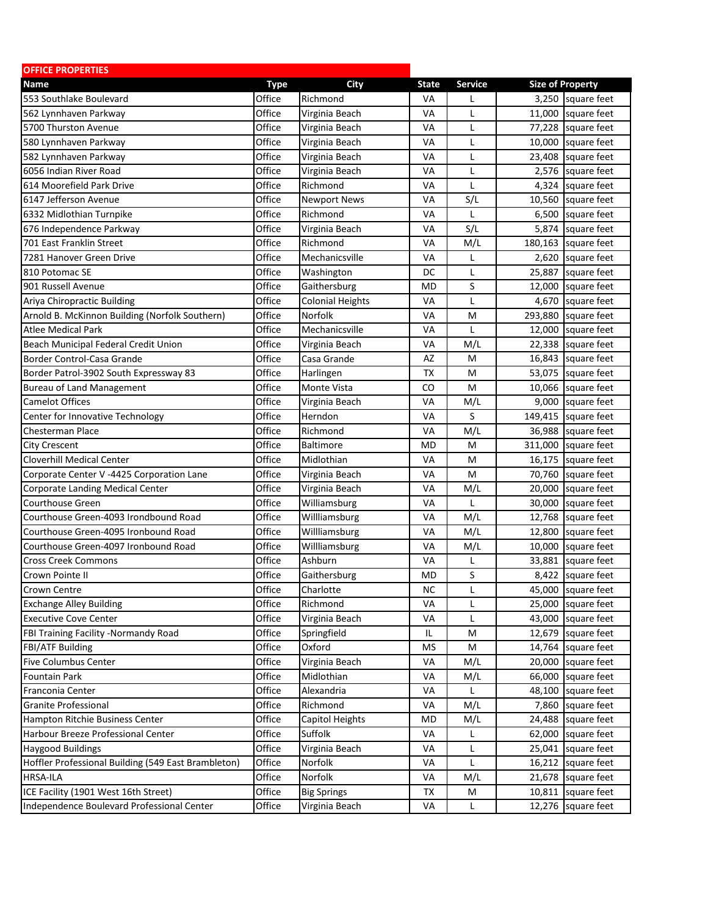| <b>OFFICE PROPERTIES</b>                            |             |                         |              |                |                         |                    |
|-----------------------------------------------------|-------------|-------------------------|--------------|----------------|-------------------------|--------------------|
| Name                                                | <b>Type</b> | City                    | <b>State</b> | <b>Service</b> | <b>Size of Property</b> |                    |
| 553 Southlake Boulevard                             | Office      | Richmond                | VA           | L              | 3,250                   | square feet        |
| 562 Lynnhaven Parkway                               | Office      | Virginia Beach          | VA           | L              | 11,000                  | square feet        |
| 5700 Thurston Avenue                                | Office      | Virginia Beach          | VA           | L              |                         | 77,228 square feet |
| 580 Lynnhaven Parkway                               | Office      | Virginia Beach          | VA           | L              | 10,000                  | square feet        |
| 582 Lynnhaven Parkway                               | Office      | Virginia Beach          | <b>VA</b>    | L              | 23,408                  | square feet        |
| 6056 Indian River Road                              | Office      | Virginia Beach          | VA           | L              | 2,576                   | square feet        |
| 614 Moorefield Park Drive                           | Office      | Richmond                | VA           | L              | 4,324                   | square feet        |
| 6147 Jefferson Avenue                               | Office      | <b>Newport News</b>     | VA           | S/L            | 10,560                  | square feet        |
| 6332 Midlothian Turnpike                            | Office      | Richmond                | VA           | L              | 6,500                   | square feet        |
| 676 Independence Parkway                            | Office      | Virginia Beach          | VA           | S/L            |                         | 5,874 square feet  |
| 701 East Franklin Street                            | Office      | Richmond                | VA           | M/L            | 180,163                 | square feet        |
| 7281 Hanover Green Drive                            | Office      | Mechanicsville          | VA           | L              | 2,620                   | square feet        |
| 810 Potomac SE                                      | Office      | Washington              | DC           | L              | 25,887                  | square feet        |
| 901 Russell Avenue                                  | Office      | Gaithersburg            | MD           | S              | 12,000                  | square feet        |
| Ariya Chiropractic Building                         | Office      | <b>Colonial Heights</b> | VA           | Г              | 4,670                   | square feet        |
| Arnold B. McKinnon Building (Norfolk Southern)      | Office      | Norfolk                 | VA           | M              | 293,880                 | square feet        |
| <b>Atlee Medical Park</b>                           | Office      | Mechanicsville          | <b>VA</b>    | L              | 12,000                  | square feet        |
| Beach Municipal Federal Credit Union                | Office      | Virginia Beach          | VA           | M/L            | 22,338                  | square feet        |
| Border Control-Casa Grande                          | Office      | Casa Grande             | AZ           | M              | 16,843                  | square feet        |
| Border Patrol-3902 South Expressway 83              | Office      | Harlingen               | ТX           | M              | 53,075                  | square feet        |
| Bureau of Land Management                           | Office      | Monte Vista             | CO           | M              | 10,066                  | square feet        |
| <b>Camelot Offices</b>                              | Office      | Virginia Beach          | VA           | M/L            | 9,000                   | square feet        |
| Center for Innovative Technology                    | Office      | Herndon                 | VA           | S              | 149,415                 | square feet        |
| <b>Chesterman Place</b>                             | Office      | Richmond                | VA           | M/L            | 36,988                  | square feet        |
| <b>City Crescent</b>                                | Office      | Baltimore               | MD           | M              | 311,000                 | square feet        |
| <b>Cloverhill Medical Center</b>                    | Office      | Midlothian              | VA           | M              | 16,175                  | square feet        |
| Corporate Center V -4425 Corporation Lane           | Office      | Virginia Beach          | VA           | M              | 70,760                  | square feet        |
| Corporate Landing Medical Center                    | Office      | Virginia Beach          | VA           | M/L            | 20,000                  | square feet        |
| <b>Courthouse Green</b>                             | Office      | Williamsburg            | VA           | L              | 30,000                  | square feet        |
| Courthouse Green-4093 Irondbound Road               | Office      | Willliamsburg           | VA           | M/L            | 12,768                  | square feet        |
| Courthouse Green-4095 Ironbound Road                | Office      | Willliamsburg           | VA           | M/L            | 12,800                  | square feet        |
| Courthouse Green-4097 Ironbound Road                | Office      | Willliamsburg           | VA           | M/L            | 10,000                  | square feet        |
| <b>Cross Creek Commons</b>                          | Office      | Ashburn                 | VA           | L              | 33,881                  | square feet        |
| Crown Pointe II                                     | Office      | Gaithersburg            | MD           | S              | 8,422                   | square feet        |
| Crown Centre                                        | Office      | Charlotte               | <b>NC</b>    | L              |                         | 45,000 square feet |
| <b>Exchange Alley Building</b>                      | Office      | Richmond                | VA           | L              | 25,000                  | square feet        |
| <b>Executive Cove Center</b>                        | Office      | Virginia Beach          | VA           | Г              | 43,000                  | square feet        |
| FBI Training Facility -Normandy Road                | Office      | Springfield             | IL           | M              | 12,679                  | square feet        |
| FBI/ATF Building                                    | Office      | Oxford                  | MS           | M              | 14,764                  | square feet        |
| <b>Five Columbus Center</b>                         | Office      | Virginia Beach          | VA           | M/L            | 20,000                  | square feet        |
| <b>Fountain Park</b>                                | Office      | Midlothian              | VA           | M/L            | 66,000                  | square feet        |
| Franconia Center                                    | Office      | Alexandria              | VA           | L              | 48,100                  | square feet        |
| Granite Professional                                | Office      | Richmond                | VA           | M/L            | 7,860                   | square feet        |
| Hampton Ritchie Business Center                     | Office      | Capitol Heights         | MD           | M/L            | 24,488                  | square feet        |
| Harbour Breeze Professional Center                  | Office      | Suffolk                 | VA           | L              | 62,000                  | square feet        |
| <b>Haygood Buildings</b>                            | Office      | Virginia Beach          | VA           | L              | 25,041                  | square feet        |
| Hoffler Professional Building (549 East Brambleton) | Office      | Norfolk                 | VA           | L              | 16,212                  | square feet        |
| <b>HRSA-ILA</b>                                     | Office      | Norfolk                 | VA           | M/L            | 21,678                  | square feet        |
| ICE Facility (1901 West 16th Street)                | Office      | <b>Big Springs</b>      | TX           | M              | 10,811                  | square feet        |
| Independence Boulevard Professional Center          | Office      | Virginia Beach          | VA           | L              |                         | 12,276 square feet |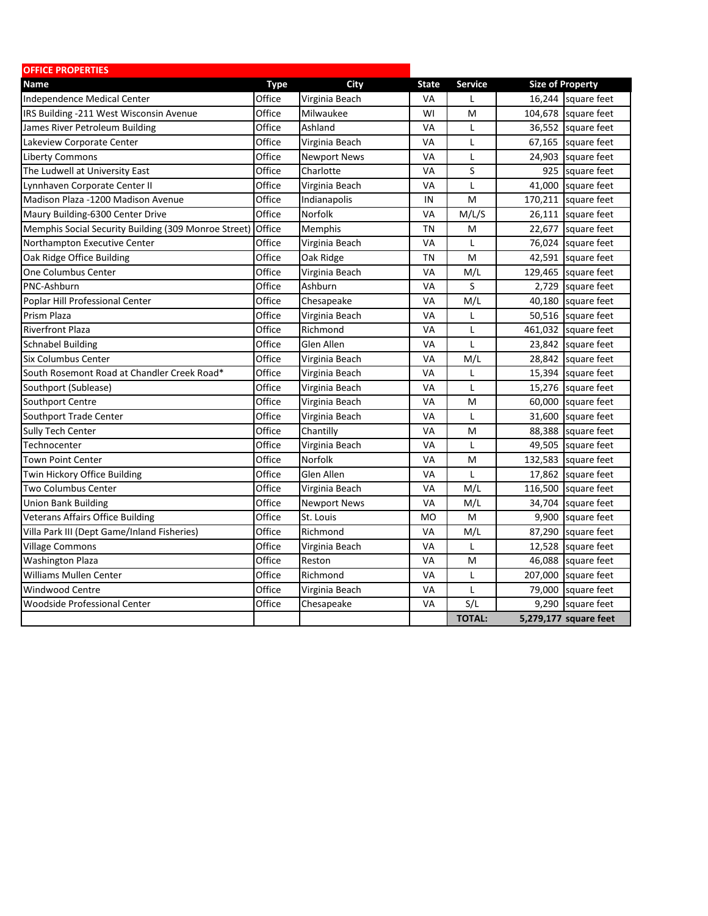| <b>OFFICE PROPERTIES</b>                             |             |                     |              |                |         |                         |
|------------------------------------------------------|-------------|---------------------|--------------|----------------|---------|-------------------------|
| Name                                                 | <b>Type</b> | City                | <b>State</b> | <b>Service</b> |         | <b>Size of Property</b> |
| <b>Independence Medical Center</b>                   | Office      | Virginia Beach      | VA           | L              |         | 16,244 square feet      |
| IRS Building -211 West Wisconsin Avenue              | Office      | Milwaukee           | WI           | M              |         | 104,678 square feet     |
| James River Petroleum Building                       | Office      | Ashland             | VA           | L              |         | 36,552 square feet      |
| Lakeview Corporate Center                            | Office      | Virginia Beach      | <b>VA</b>    | L              |         | 67,165 square feet      |
| <b>Liberty Commons</b>                               | Office      | <b>Newport News</b> | VA           | L              |         | 24,903 square feet      |
| The Ludwell at University East                       | Office      | Charlotte           | VA           | S              |         | 925 square feet         |
| Lynnhaven Corporate Center II                        | Office      | Virginia Beach      | VA           | $\mathsf{L}$   |         | 41,000 square feet      |
| Madison Plaza -1200 Madison Avenue                   | Office      | Indianapolis        | IN           | M              |         | 170,211 square feet     |
| Maury Building-6300 Center Drive                     | Office      | Norfolk             | VA           | M/L/S          |         | 26,111 square feet      |
| Memphis Social Security Building (309 Monroe Street) | Office      | Memphis             | <b>TN</b>    | M              |         | 22,677 square feet      |
| Northampton Executive Center                         | Office      | Virginia Beach      | VA           | L              |         | 76,024 square feet      |
| Oak Ridge Office Building                            | Office      | Oak Ridge           | <b>TN</b>    | M              |         | 42,591 square feet      |
| One Columbus Center                                  | Office      | Virginia Beach      | VA           | M/L            |         | 129,465 square feet     |
| PNC-Ashburn                                          | Office      | Ashburn             | VA           | S              | 2,729   | square feet             |
| Poplar Hill Professional Center                      | Office      | Chesapeake          | VA           | M/L            |         | 40,180 square feet      |
| Prism Plaza                                          | Office      | Virginia Beach      | VA           | L              |         | 50,516 square feet      |
| <b>Riverfront Plaza</b>                              | Office      | Richmond            | <b>VA</b>    | L              |         | 461,032 square feet     |
| <b>Schnabel Building</b>                             | Office      | Glen Allen          | VA           | $\mathsf{L}$   |         | 23,842 square feet      |
| Six Columbus Center                                  | Office      | Virginia Beach      | VA           | M/L            |         | 28,842 square feet      |
| South Rosemont Road at Chandler Creek Road*          | Office      | Virginia Beach      | VA           | $\mathsf{L}$   |         | 15,394 square feet      |
| Southport (Sublease)                                 | Office      | Virginia Beach      | VA           | $\mathsf{L}$   |         | 15,276 square feet      |
| Southport Centre                                     | Office      | Virginia Beach      | VA           | M              |         | 60,000 square feet      |
| Southport Trade Center                               | Office      | Virginia Beach      | VA           | $\mathsf{L}$   | 31,600  | square feet             |
| <b>Sully Tech Center</b>                             | Office      | Chantilly           | VA           | M              | 88,388  | square feet             |
| Technocenter                                         | Office      | Virginia Beach      | VA           | L              |         | 49,505 square feet      |
| <b>Town Point Center</b>                             | Office      | <b>Norfolk</b>      | VA           | M              |         | 132,583 square feet     |
| Twin Hickory Office Building                         | Office      | Glen Allen          | VA           | L              | 17,862  | square feet             |
| <b>Two Columbus Center</b>                           | Office      | Virginia Beach      | VA           | M/L            | 116,500 | square feet             |
| <b>Union Bank Building</b>                           | Office      | <b>Newport News</b> | VA           | M/L            | 34,704  | square feet             |
| <b>Veterans Affairs Office Building</b>              | Office      | St. Louis           | MO           | M              | 9,900   | square feet             |
| Villa Park III (Dept Game/Inland Fisheries)          | Office      | Richmond            | VA           | M/L            | 87,290  | square feet             |
| <b>Village Commons</b>                               | Office      | Virginia Beach      | <b>VA</b>    | $\mathsf{L}$   | 12,528  | square feet             |
| <b>Washington Plaza</b>                              | Office      | Reston              | VA           | M              | 46,088  | square feet             |
| Williams Mullen Center                               | Office      | Richmond            | VA           | $\mathsf{L}$   | 207,000 | square feet             |
| <b>Windwood Centre</b>                               | Office      | Virginia Beach      | VA           | $\mathsf{L}$   |         | 79,000 square feet      |
| Woodside Professional Center                         | Office      | Chesapeake          | VA           | S/L            |         | 9,290 square feet       |
|                                                      |             |                     |              | <b>TOTAL:</b>  |         | 5,279,177 square feet   |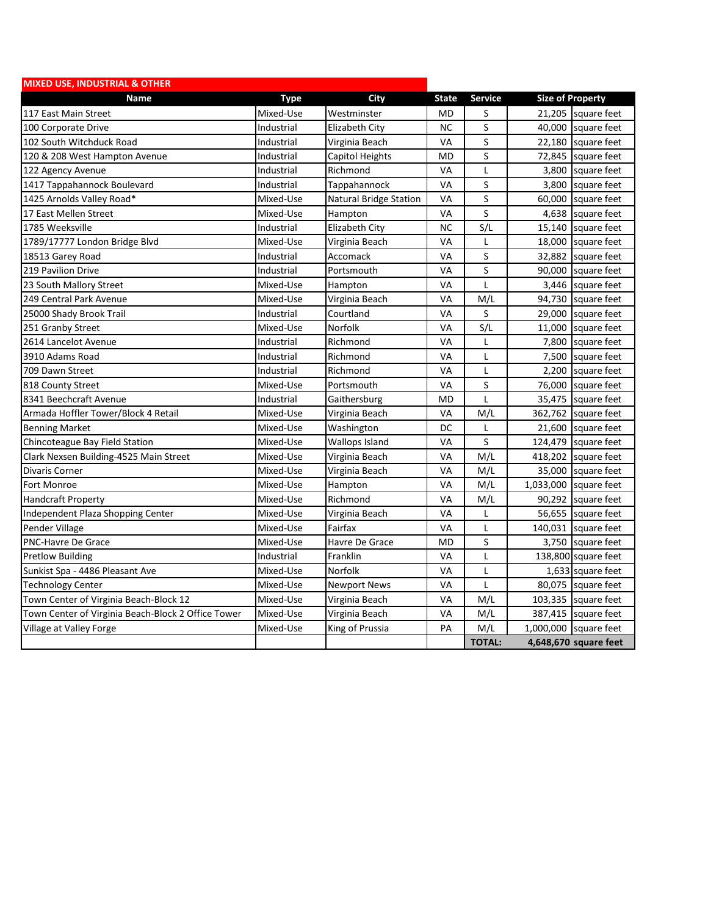| <b>MIXED USE, INDUSTRIAL &amp; OTHER</b>           |             |                               |              |                |                         |                       |
|----------------------------------------------------|-------------|-------------------------------|--------------|----------------|-------------------------|-----------------------|
| <b>Name</b>                                        | <b>Type</b> | City                          | <b>State</b> | <b>Service</b> | <b>Size of Property</b> |                       |
| 117 East Main Street                               | Mixed-Use   | Westminster                   | <b>MD</b>    | S              |                         | 21,205 square feet    |
| 100 Corporate Drive                                | Industrial  | Elizabeth City                | <b>NC</b>    | S              |                         | 40,000 square feet    |
| 102 South Witchduck Road                           | Industrial  | Virginia Beach                | VA           | S              |                         | 22,180 square feet    |
| 120 & 208 West Hampton Avenue                      | Industrial  | Capitol Heights               | <b>MD</b>    | S              |                         | 72,845 square feet    |
| 122 Agency Avenue                                  | Industrial  | Richmond                      | <b>VA</b>    | L              |                         | 3,800 square feet     |
| 1417 Tappahannock Boulevard                        | Industrial  | Tappahannock                  | <b>VA</b>    | S              |                         | 3,800 square feet     |
| 1425 Arnolds Valley Road*                          | Mixed-Use   | <b>Natural Bridge Station</b> | VA           | S              |                         | 60,000 square feet    |
| 17 East Mellen Street                              | Mixed-Use   | Hampton                       | VA           | S              |                         | 4,638 square feet     |
| 1785 Weeksville                                    | Industrial  | Elizabeth City                | <b>NC</b>    | S/L            |                         | 15,140 square feet    |
| 1789/17777 London Bridge Blvd                      | Mixed-Use   | Virginia Beach                | <b>VA</b>    | L              |                         | 18,000 square feet    |
| 18513 Garey Road                                   | Industrial  | Accomack                      | VA           | S              |                         | 32,882 square feet    |
| 219 Pavilion Drive                                 | Industrial  | Portsmouth                    | VA           | S              |                         | 90,000 square feet    |
| 23 South Mallory Street                            | Mixed-Use   | Hampton                       | VA           | L              |                         | 3,446 square feet     |
| 249 Central Park Avenue                            | Mixed-Use   | Virginia Beach                | VA           | M/L            |                         | 94,730 square feet    |
| 25000 Shady Brook Trail                            | Industrial  | Courtland                     | <b>VA</b>    | S              |                         | 29,000 square feet    |
| 251 Granby Street                                  | Mixed-Use   | Norfolk                       | VA           | S/L            |                         | 11,000 square feet    |
| 2614 Lancelot Avenue                               | Industrial  | Richmond                      | VA           | L              |                         | 7,800 square feet     |
| 3910 Adams Road                                    | Industrial  | Richmond                      | <b>VA</b>    | L              |                         | 7,500 square feet     |
| 709 Dawn Street                                    | Industrial  | Richmond                      | VA           | L              |                         | 2,200 square feet     |
| 818 County Street                                  | Mixed-Use   | Portsmouth                    | VA           | S              |                         | 76,000 square feet    |
| 8341 Beechcraft Avenue                             | Industrial  | Gaithersburg                  | <b>MD</b>    | L              |                         | 35,475 square feet    |
| Armada Hoffler Tower/Block 4 Retail                | Mixed-Use   | Virginia Beach                | <b>VA</b>    | M/L            |                         | 362,762 square feet   |
| <b>Benning Market</b>                              | Mixed-Use   | Washington                    | DC           | L              |                         | 21,600 square feet    |
| Chincoteague Bay Field Station                     | Mixed-Use   | <b>Wallops Island</b>         | <b>VA</b>    | S              |                         | 124,479 square feet   |
| Clark Nexsen Building-4525 Main Street             | Mixed-Use   | Virginia Beach                | <b>VA</b>    | M/L            |                         | 418,202 square feet   |
| Divaris Corner                                     | Mixed-Use   | Virginia Beach                | <b>VA</b>    | M/L            |                         | 35,000 square feet    |
| Fort Monroe                                        | Mixed-Use   | Hampton                       | <b>VA</b>    | M/L            |                         | 1,033,000 square feet |
| <b>Handcraft Property</b>                          | Mixed-Use   | Richmond                      | VA           | M/L            |                         | 90,292 square feet    |
| Independent Plaza Shopping Center                  | Mixed-Use   | Virginia Beach                | VA           | L              |                         | 56,655 square feet    |
| Pender Village                                     | Mixed-Use   | Fairfax                       | VA           | L              |                         | 140,031 square feet   |
| PNC-Havre De Grace                                 | Mixed-Use   | Havre De Grace                | <b>MD</b>    | S              |                         | 3,750 square feet     |
| <b>Pretlow Building</b>                            | Industrial  | Franklin                      | <b>VA</b>    | L              |                         | 138,800 square feet   |
| Sunkist Spa - 4486 Pleasant Ave                    | Mixed-Use   | Norfolk                       | VA           | L              |                         | 1,633 square feet     |
| <b>Technology Center</b>                           | Mixed-Use   | <b>Newport News</b>           | VA           | L              |                         | 80,075 square feet    |
| Town Center of Virginia Beach-Block 12             | Mixed-Use   | Virginia Beach                | VA           | M/L            |                         | 103,335 square feet   |
| Town Center of Virginia Beach-Block 2 Office Tower | Mixed-Use   | Virginia Beach                | <b>VA</b>    | M/L            |                         | 387,415 square feet   |
| Village at Valley Forge                            | Mixed-Use   | King of Prussia               | PA           | M/L            |                         | 1,000,000 square feet |
|                                                    |             |                               |              | <b>TOTAL:</b>  |                         | 4,648,670 square feet |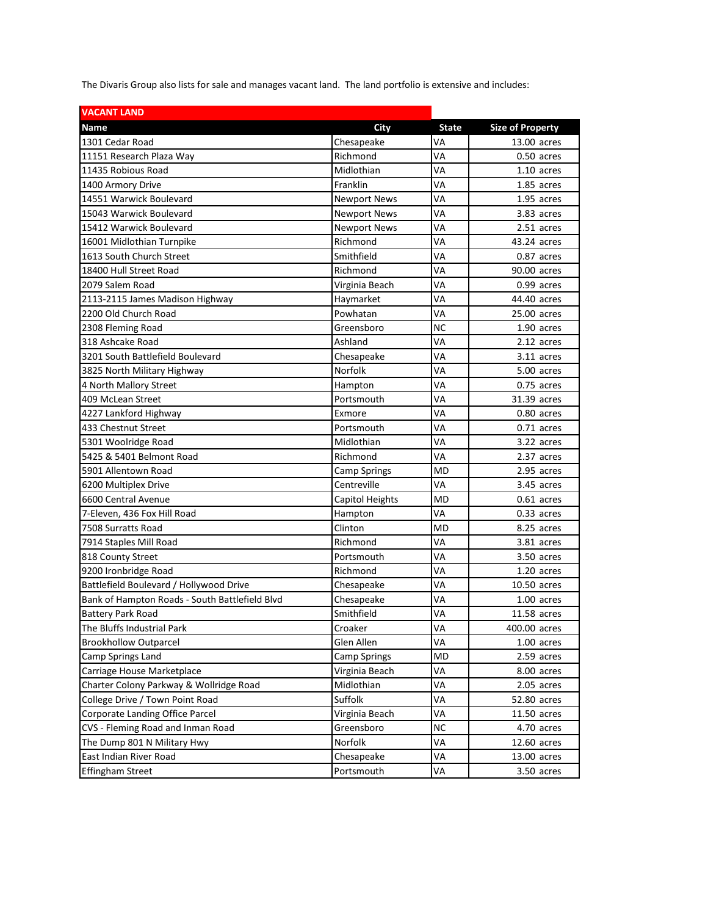The Divaris Group also lists for sale and manages vacant land. The land portfolio is extensive and includes:

| <b>VACANT LAND</b>                             |                     |              |                         |
|------------------------------------------------|---------------------|--------------|-------------------------|
| Name                                           | City                | <b>State</b> | <b>Size of Property</b> |
| 1301 Cedar Road                                | Chesapeake          | VA           | 13.00 acres             |
| 11151 Research Plaza Way                       | Richmond            | VA           | 0.50 acres              |
| 11435 Robious Road                             | Midlothian          | VA           | $1.10$ acres            |
| 1400 Armory Drive                              | Franklin            | VA           | 1.85 acres              |
| 14551 Warwick Boulevard                        | <b>Newport News</b> | VA           | 1.95 acres              |
| 15043 Warwick Boulevard                        | <b>Newport News</b> | VA           | 3.83 acres              |
| 15412 Warwick Boulevard                        | <b>Newport News</b> | VA           | 2.51 acres              |
| 16001 Midlothian Turnpike                      | Richmond            | VA           | 43.24 acres             |
| 1613 South Church Street                       | Smithfield          | VA           | 0.87 acres              |
| 18400 Hull Street Road                         | Richmond            | VA           | 90.00 acres             |
| 2079 Salem Road                                | Virginia Beach      | VA           | 0.99 acres              |
| 2113-2115 James Madison Highway                | Haymarket           | VA           | 44.40 acres             |
| 2200 Old Church Road                           | Powhatan            | VA           | 25.00 acres             |
| 2308 Fleming Road                              | Greensboro          | <b>NC</b>    | 1.90 acres              |
| 318 Ashcake Road                               | Ashland             | VA           | 2.12 acres              |
| 3201 South Battlefield Boulevard               | Chesapeake          | VA           | 3.11 acres              |
| 3825 North Military Highway                    | Norfolk             | VA           | 5.00 acres              |
| 4 North Mallory Street                         | Hampton             | VA           | $0.75$ acres            |
| 409 McLean Street                              | Portsmouth          | VA           | 31.39 acres             |
| 4227 Lankford Highway                          | Exmore              | VA           | 0.80 acres              |
| 433 Chestnut Street                            | Portsmouth          | VA           | 0.71 acres              |
| 5301 Woolridge Road                            | Midlothian          | VA           | 3.22 acres              |
| 5425 & 5401 Belmont Road                       | Richmond            | VA           | 2.37 acres              |
| 5901 Allentown Road                            | Camp Springs        | MD           | 2.95 acres              |
| 6200 Multiplex Drive                           | Centreville         | VA           | 3.45 acres              |
| 6600 Central Avenue                            | Capitol Heights     | MD           | $0.61$ acres            |
| 7-Eleven, 436 Fox Hill Road                    | Hampton             | VA           | $0.33$ acres            |
| 7508 Surratts Road                             | Clinton             | MD           | 8.25 acres              |
| 7914 Staples Mill Road                         | Richmond            | VA           | 3.81 acres              |
| 818 County Street                              | Portsmouth          | VA           | 3.50 acres              |
| 9200 Ironbridge Road                           | Richmond            | VA           | 1.20 acres              |
| Battlefield Boulevard / Hollywood Drive        | Chesapeake          | VA           | 10.50 acres             |
| Bank of Hampton Roads - South Battlefield Blvd | Chesapeake          | VA           | 1.00 acres              |
| <b>Battery Park Road</b>                       | Smithfield          | VA           | 11.58 acres             |
| The Bluffs Industrial Park                     | Croaker             | VA           | 400.00 acres            |
| <b>Brookhollow Outparcel</b>                   | Glen Allen          | VA           | 1.00 acres              |
| Camp Springs Land                              | Camp Springs        | MD           | 2.59 acres              |
| Carriage House Marketplace                     | Virginia Beach      | VA           | 8.00 acres              |
| Charter Colony Parkway & Wollridge Road        | Midlothian          | VA           | 2.05 acres              |
| College Drive / Town Point Road                | Suffolk             | VA           | 52.80 acres             |
| Corporate Landing Office Parcel                | Virginia Beach      | VA           | 11.50 acres             |
| CVS - Fleming Road and Inman Road              | Greensboro          | <b>NC</b>    | 4.70 acres              |
| The Dump 801 N Military Hwy                    | Norfolk             | VA           | 12.60 acres             |
| East Indian River Road                         | Chesapeake          | VA           | 13.00 acres             |
| <b>Effingham Street</b>                        | Portsmouth          | VA           | 3.50 acres              |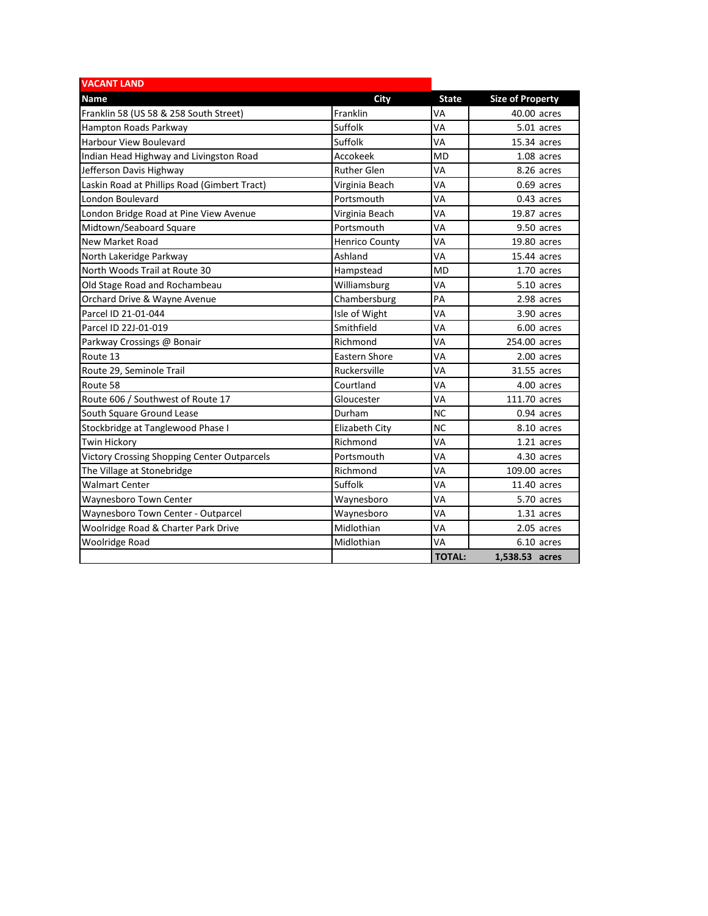| <b>VACANT LAND</b>                                 |                       |               |                         |
|----------------------------------------------------|-----------------------|---------------|-------------------------|
| <b>Name</b>                                        | City                  | <b>State</b>  | <b>Size of Property</b> |
| Franklin 58 (US 58 & 258 South Street)             | Franklin              | <b>VA</b>     | 40.00 acres             |
| Hampton Roads Parkway                              | Suffolk               | VA            | 5.01 acres              |
| <b>Harbour View Boulevard</b>                      | Suffolk               | <b>VA</b>     | 15.34 acres             |
| Indian Head Highway and Livingston Road            | Accokeek              | <b>MD</b>     | $1.08$ acres            |
| Jefferson Davis Highway                            | <b>Ruther Glen</b>    | VA            | 8.26 acres              |
| Laskin Road at Phillips Road (Gimbert Tract)       | Virginia Beach        | VA            | 0.69 acres              |
| London Boulevard                                   | Portsmouth            | VA            | 0.43 acres              |
| London Bridge Road at Pine View Avenue             | Virginia Beach        | VA            | 19.87 acres             |
| Midtown/Seaboard Square                            | Portsmouth            | VA            | 9.50 acres              |
| <b>New Market Road</b>                             | <b>Henrico County</b> | VA            | 19.80 acres             |
| North Lakeridge Parkway                            | Ashland               | VA            | 15.44 acres             |
| North Woods Trail at Route 30                      | Hampstead             | <b>MD</b>     | $1.70$ acres            |
| Old Stage Road and Rochambeau                      | Williamsburg          | VA            | 5.10 acres              |
| Orchard Drive & Wayne Avenue                       | Chambersburg          | PA            | 2.98 acres              |
| Parcel ID 21-01-044                                | Isle of Wight         | VA            | 3.90 acres              |
| Parcel ID 22J-01-019                               | Smithfield            | VA            | 6.00 acres              |
| Parkway Crossings @ Bonair                         | Richmond              | VA            | 254.00 acres            |
| Route 13                                           | <b>Eastern Shore</b>  | VA            | 2.00 acres              |
| Route 29, Seminole Trail                           | Ruckersville          | VA            | 31.55 acres             |
| Route 58                                           | Courtland             | VA            | 4.00 acres              |
| Route 606 / Southwest of Route 17                  | Gloucester            | VA            | 111.70 acres            |
| South Square Ground Lease                          | Durham                | <b>NC</b>     | 0.94 acres              |
| Stockbridge at Tanglewood Phase I                  | Elizabeth City        | <b>NC</b>     | 8.10 acres              |
| <b>Twin Hickory</b>                                | Richmond              | VA            | $1.21$ acres            |
| <b>Victory Crossing Shopping Center Outparcels</b> | Portsmouth            | VA            | 4.30 acres              |
| The Village at Stonebridge                         | Richmond              | VA            | 109.00 acres            |
| <b>Walmart Center</b>                              | Suffolk               | VA            | 11.40 acres             |
| Waynesboro Town Center                             | Waynesboro            | VA            | 5.70 acres              |
| Waynesboro Town Center - Outparcel                 | Waynesboro            | VA            | 1.31 acres              |
| Woolridge Road & Charter Park Drive                | Midlothian            | VA            | 2.05 acres              |
| Woolridge Road                                     | Midlothian            | VA            | 6.10 acres              |
|                                                    |                       | <b>TOTAL:</b> | 1,538.53 acres          |